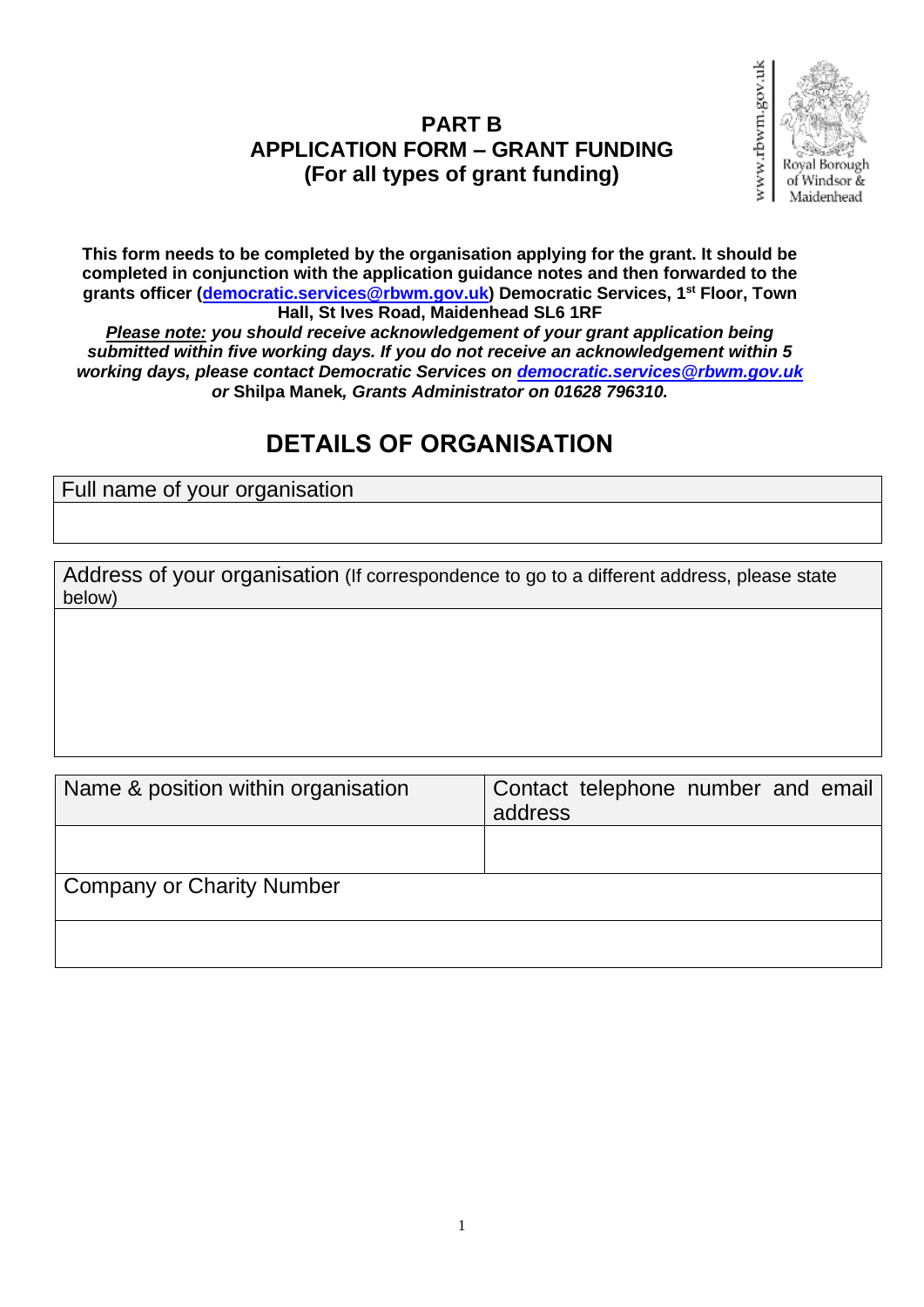### **PART B APPLICATION FORM – GRANT FUNDING (For all types of grant funding)**



**This form needs to be completed by the organisation applying for the grant. It should be completed in conjunction with the application guidance notes and then forwarded to the grants officer [\(democratic.services@rbwm.gov.uk\)](mailto:democratic.services@rbwm.gov.uk) Democratic Services, 1st Floor, Town Hall, St Ives Road, Maidenhead SL6 1RF**

*Please note: you should receive acknowledgement of your grant application being submitted within five working days. If you do not receive an acknowledgement within 5 working days, please contact Democratic Services on [democratic.services@rbwm.gov.uk](mailto:democratic.services@rbwm.gov.uk) or* **Shilpa Manek***, Grants Administrator on 01628 796310.*

### **DETAILS OF ORGANISATION**

Full name of your organisation

Address of your organisation (If correspondence to go to a different address, please state below)

| Name & position within organisation | Contact telephone number and email<br>address |
|-------------------------------------|-----------------------------------------------|
|                                     |                                               |
| <b>Company or Charity Number</b>    |                                               |
|                                     |                                               |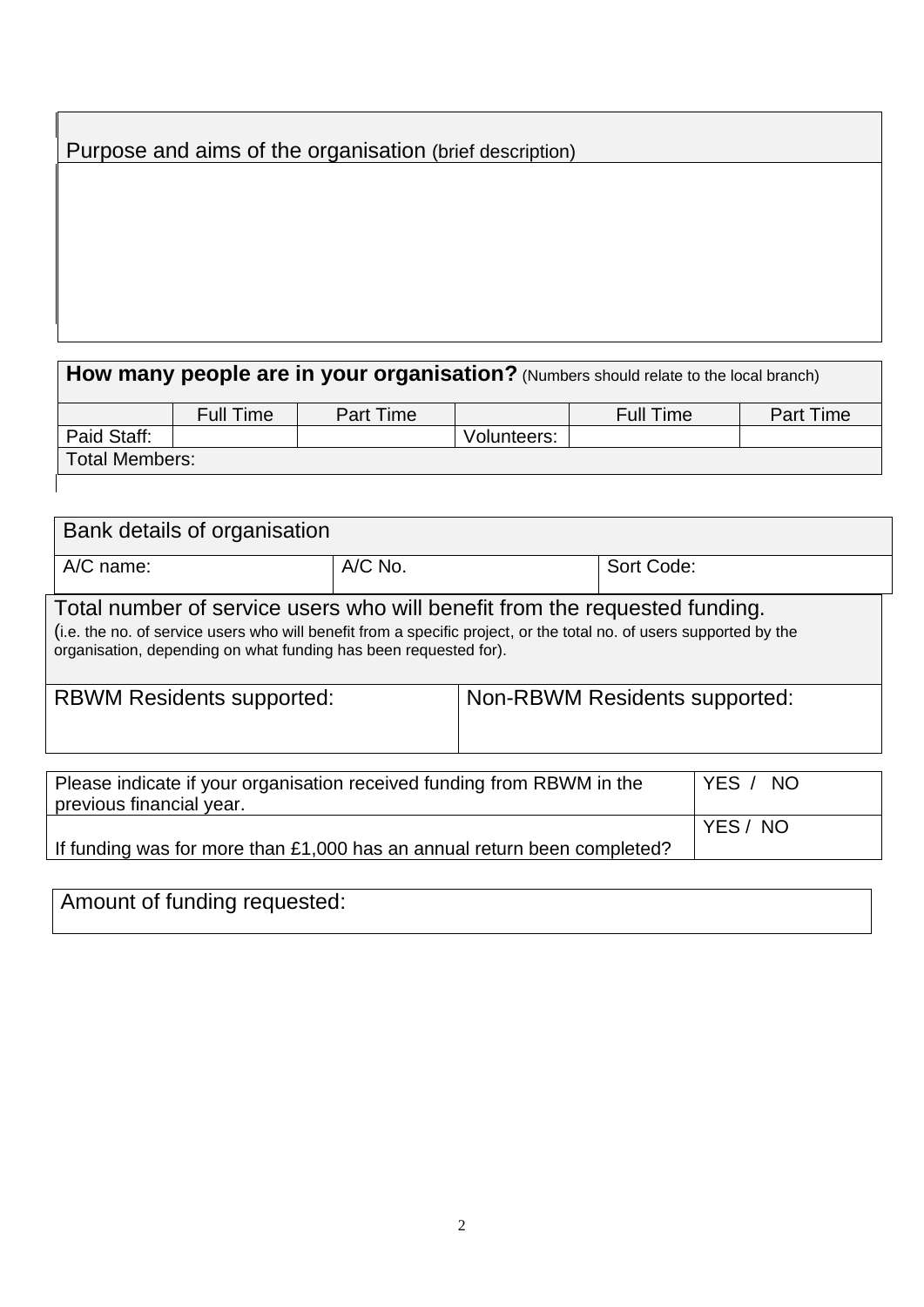|  |  | Purpose and aims of the organisation (brief description) |
|--|--|----------------------------------------------------------|
|  |  |                                                          |

# **How many people are in your organisation?** (Numbers should relate to the local branch)

|                       | <b>Full Time</b> | Part Time |             | <b>Full Time</b> | <b>Part Time</b> |
|-----------------------|------------------|-----------|-------------|------------------|------------------|
| Paid Staff:           |                  |           | Volunteers: |                  |                  |
| <b>Total Members:</b> |                  |           |             |                  |                  |
|                       |                  |           |             |                  |                  |

| Bank details of organisation                                                                                                                                                                                                                                          |         |  |            |  |
|-----------------------------------------------------------------------------------------------------------------------------------------------------------------------------------------------------------------------------------------------------------------------|---------|--|------------|--|
| $A/C$ name:                                                                                                                                                                                                                                                           | A/C No. |  | Sort Code: |  |
| Total number of service users who will benefit from the requested funding.<br>(i.e. the no. of service users who will benefit from a specific project, or the total no. of users supported by the<br>organisation, depending on what funding has been requested for). |         |  |            |  |
| Non-RBWM Residents supported:<br><b>RBWM Residents supported:</b>                                                                                                                                                                                                     |         |  |            |  |
| Please indicate if your organisation received funding from RBWM in the<br>YES /<br>NO.<br>previous financial year.                                                                                                                                                    |         |  |            |  |
| YES / NO<br>If funding was for more than £1,000 has an annual return been completed?                                                                                                                                                                                  |         |  |            |  |

# Amount of funding requested: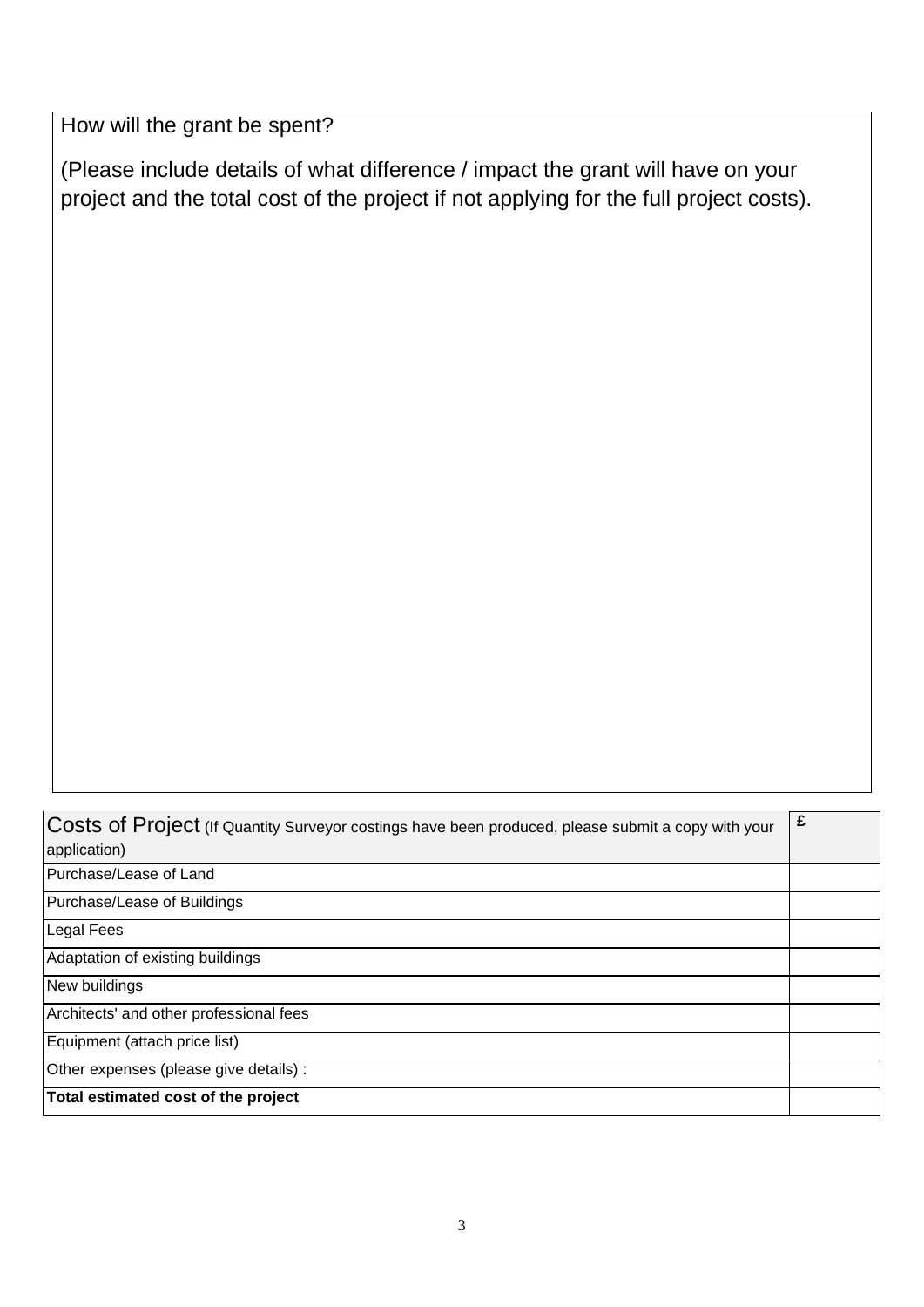How will the grant be spent?

(Please include details of what difference / impact the grant will have on your project and the total cost of the project if not applying for the full project costs).

Costs of Project (If Quantity Surveyor costings have been produced, please submit a copy with your application) **£** Purchase/Lease of Land Purchase/Lease of Buildings Legal Fees Adaptation of existing buildings New buildings Architects' and other professional fees Equipment (attach price list) Other expenses (please give details) : **Total estimated cost of the project**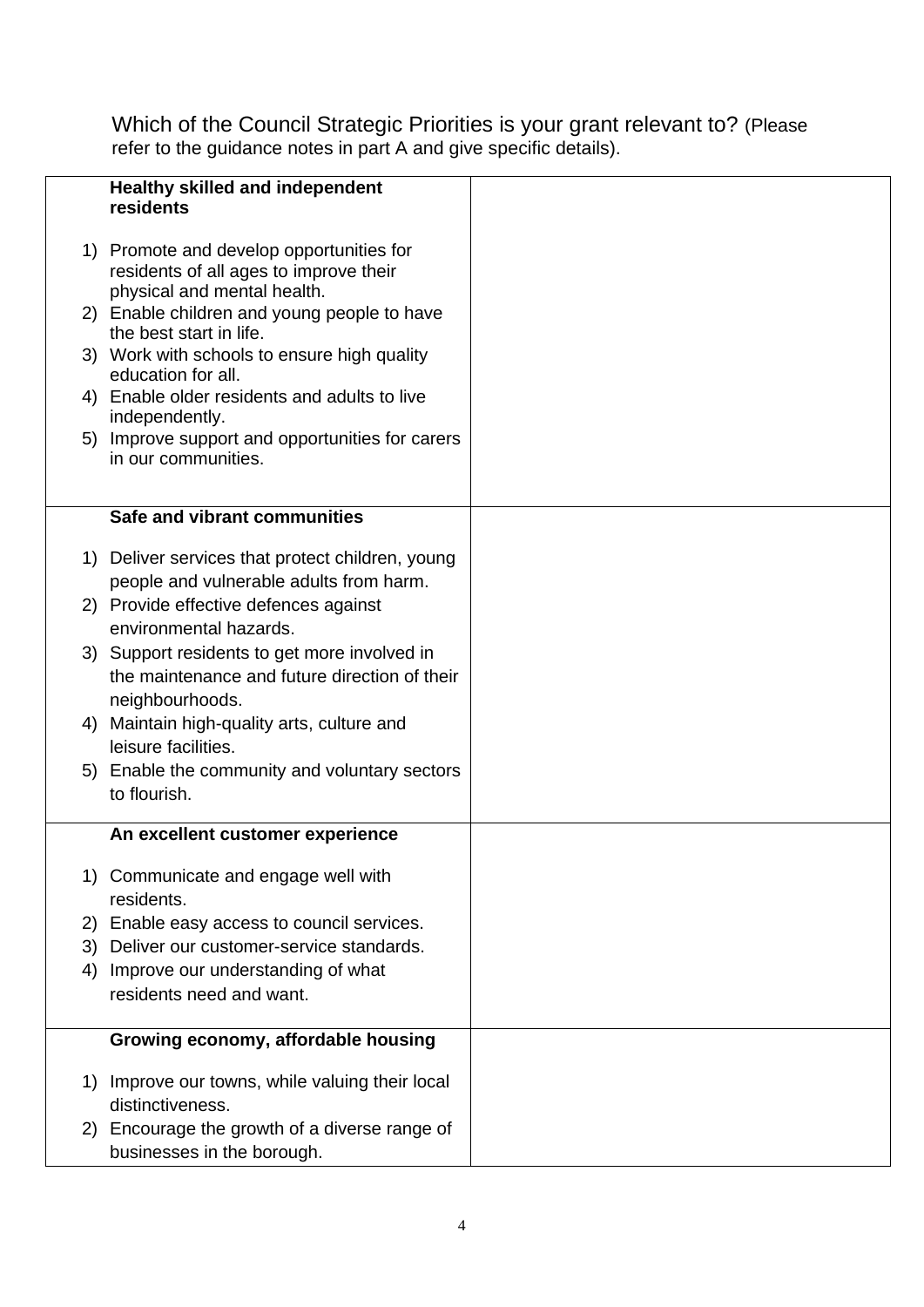Which of the Council Strategic Priorities is your grant relevant to? (Please refer to the guidance notes in part A and give specific details).

| <b>Healthy skilled and independent</b><br>residents |                                                                                                                                                                                                                                                                                                                                                                                                                                                                                                                                                                                                                                                                                       |
|-----------------------------------------------------|---------------------------------------------------------------------------------------------------------------------------------------------------------------------------------------------------------------------------------------------------------------------------------------------------------------------------------------------------------------------------------------------------------------------------------------------------------------------------------------------------------------------------------------------------------------------------------------------------------------------------------------------------------------------------------------|
| residents of all ages to improve their              |                                                                                                                                                                                                                                                                                                                                                                                                                                                                                                                                                                                                                                                                                       |
| the best start in life.                             |                                                                                                                                                                                                                                                                                                                                                                                                                                                                                                                                                                                                                                                                                       |
| education for all.                                  |                                                                                                                                                                                                                                                                                                                                                                                                                                                                                                                                                                                                                                                                                       |
| independently.                                      |                                                                                                                                                                                                                                                                                                                                                                                                                                                                                                                                                                                                                                                                                       |
| in our communities.                                 |                                                                                                                                                                                                                                                                                                                                                                                                                                                                                                                                                                                                                                                                                       |
|                                                     |                                                                                                                                                                                                                                                                                                                                                                                                                                                                                                                                                                                                                                                                                       |
|                                                     |                                                                                                                                                                                                                                                                                                                                                                                                                                                                                                                                                                                                                                                                                       |
| people and vulnerable adults from harm.             |                                                                                                                                                                                                                                                                                                                                                                                                                                                                                                                                                                                                                                                                                       |
| environmental hazards.                              |                                                                                                                                                                                                                                                                                                                                                                                                                                                                                                                                                                                                                                                                                       |
| the maintenance and future direction of their       |                                                                                                                                                                                                                                                                                                                                                                                                                                                                                                                                                                                                                                                                                       |
| neighbourhoods.                                     |                                                                                                                                                                                                                                                                                                                                                                                                                                                                                                                                                                                                                                                                                       |
| leisure facilities.                                 |                                                                                                                                                                                                                                                                                                                                                                                                                                                                                                                                                                                                                                                                                       |
| to flourish.                                        |                                                                                                                                                                                                                                                                                                                                                                                                                                                                                                                                                                                                                                                                                       |
| An excellent customer experience                    |                                                                                                                                                                                                                                                                                                                                                                                                                                                                                                                                                                                                                                                                                       |
| Communicate and engage well with<br>residents.      |                                                                                                                                                                                                                                                                                                                                                                                                                                                                                                                                                                                                                                                                                       |
| Enable easy access to council services.             |                                                                                                                                                                                                                                                                                                                                                                                                                                                                                                                                                                                                                                                                                       |
| Deliver our customer-service standards.             |                                                                                                                                                                                                                                                                                                                                                                                                                                                                                                                                                                                                                                                                                       |
| residents need and want.                            |                                                                                                                                                                                                                                                                                                                                                                                                                                                                                                                                                                                                                                                                                       |
| Growing economy, affordable housing                 |                                                                                                                                                                                                                                                                                                                                                                                                                                                                                                                                                                                                                                                                                       |
| Improve our towns, while valuing their local        |                                                                                                                                                                                                                                                                                                                                                                                                                                                                                                                                                                                                                                                                                       |
| Encourage the growth of a diverse range of          |                                                                                                                                                                                                                                                                                                                                                                                                                                                                                                                                                                                                                                                                                       |
|                                                     | 1) Promote and develop opportunities for<br>physical and mental health.<br>2) Enable children and young people to have<br>3) Work with schools to ensure high quality<br>4) Enable older residents and adults to live<br>Improve support and opportunities for carers<br>5)<br>Safe and vibrant communities<br>1) Deliver services that protect children, young<br>2) Provide effective defences against<br>3) Support residents to get more involved in<br>Maintain high-quality arts, culture and<br>4)<br>5) Enable the community and voluntary sectors<br>1)<br>2)<br>3)<br>Improve our understanding of what<br>4)<br>1)<br>distinctiveness.<br>2)<br>businesses in the borough. |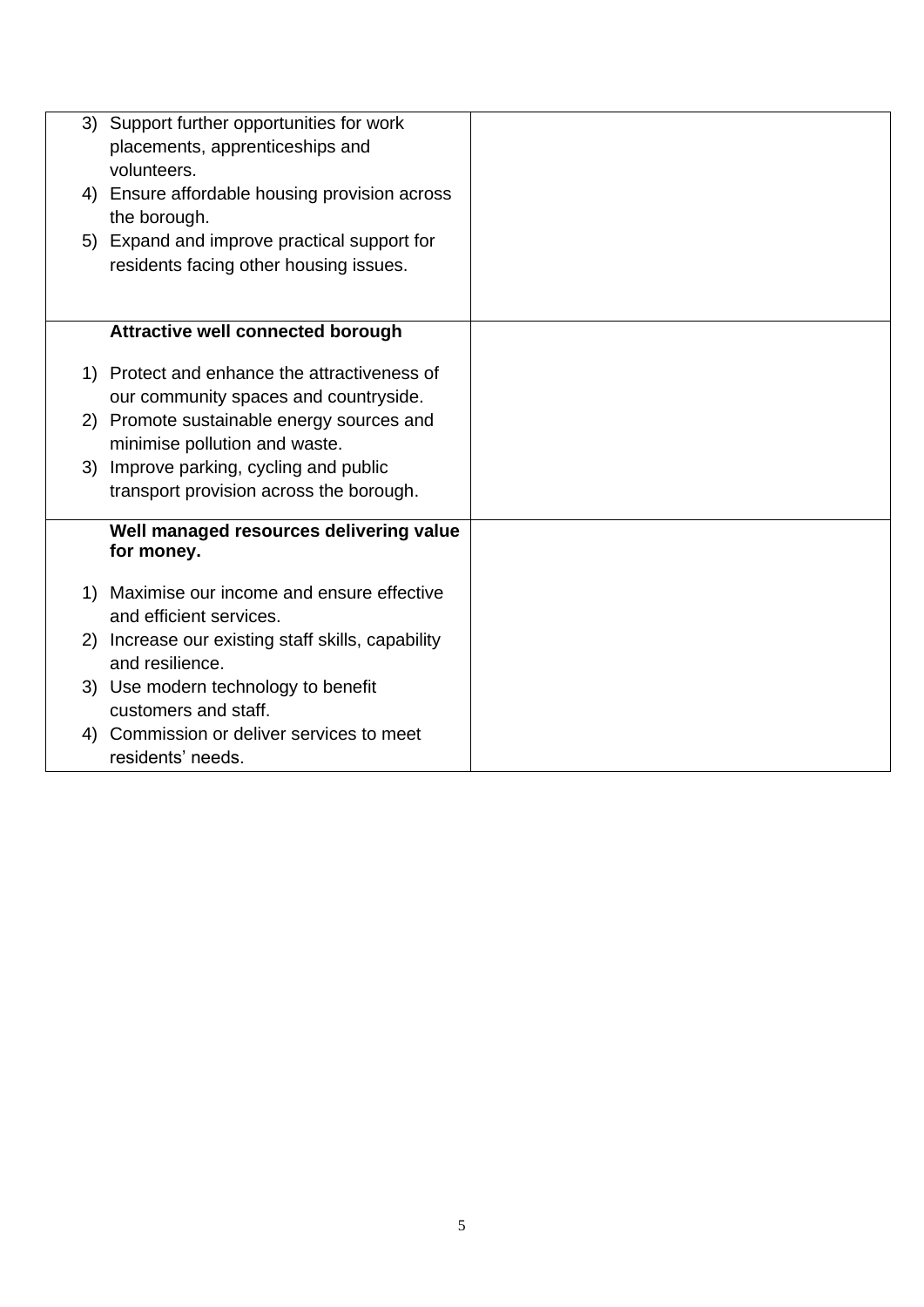|    | 3) Support further opportunities for work<br>placements, apprenticeships and<br>volunteers. |  |
|----|---------------------------------------------------------------------------------------------|--|
|    | 4) Ensure affordable housing provision across<br>the borough.                               |  |
|    | 5) Expand and improve practical support for<br>residents facing other housing issues.       |  |
|    |                                                                                             |  |
|    | <b>Attractive well connected borough</b>                                                    |  |
|    | 1) Protect and enhance the attractiveness of<br>our community spaces and countryside.       |  |
|    | 2) Promote sustainable energy sources and                                                   |  |
|    | minimise pollution and waste.<br>3) Improve parking, cycling and public                     |  |
|    | transport provision across the borough.                                                     |  |
|    | Well managed resources delivering value<br>for money.                                       |  |
|    | 1) Maximise our income and ensure effective<br>and efficient services.                      |  |
|    | 2) Increase our existing staff skills, capability<br>and resilience.                        |  |
|    | 3) Use modern technology to benefit<br>customers and staff.                                 |  |
| 4) | Commission or deliver services to meet<br>residents' needs.                                 |  |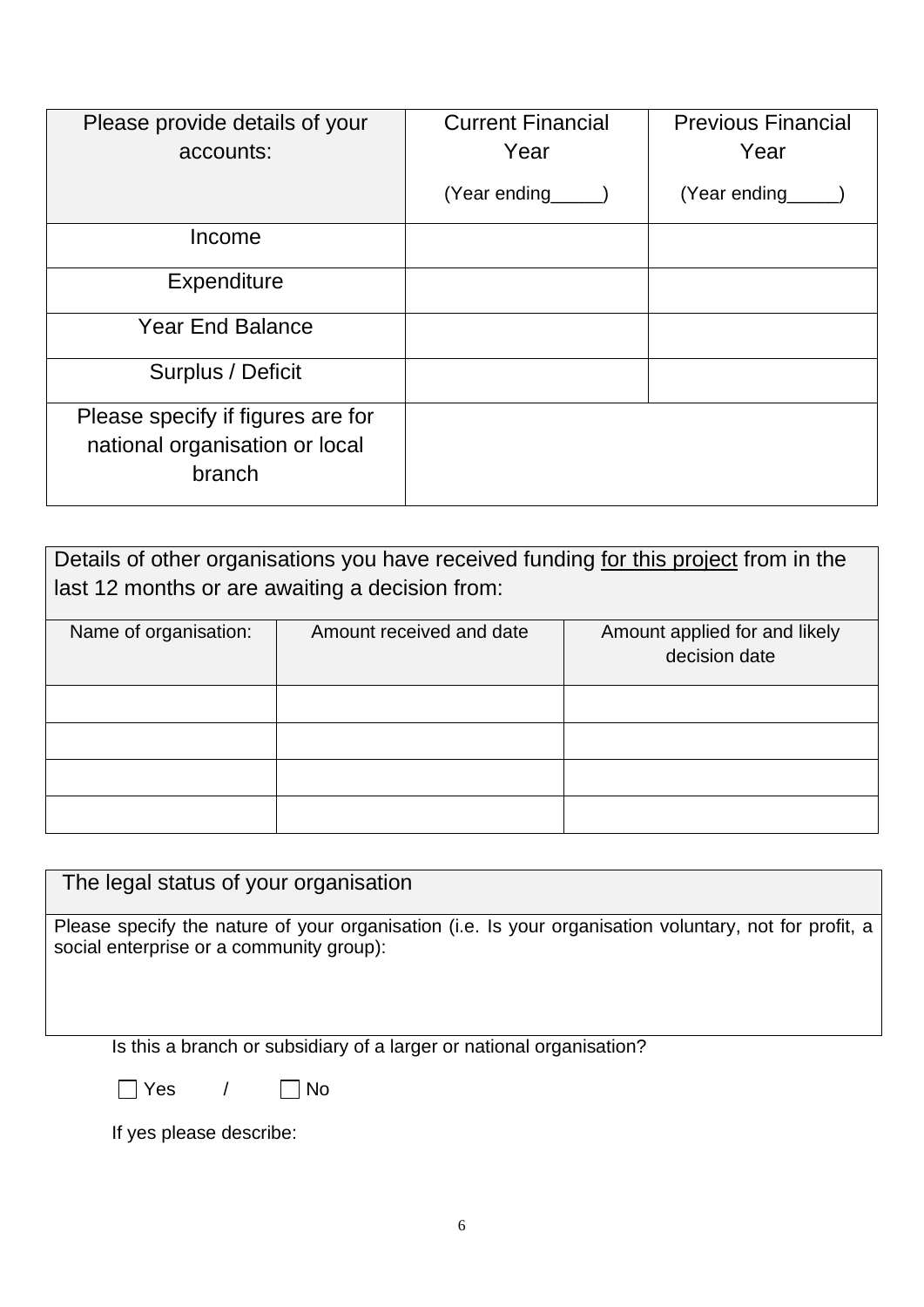| Please provide details of your<br>accounts:                                   | <b>Current Financial</b><br>Year | <b>Previous Financial</b><br>Year |
|-------------------------------------------------------------------------------|----------------------------------|-----------------------------------|
|                                                                               | (Year ending                     | (Year ending                      |
| Income                                                                        |                                  |                                   |
| Expenditure                                                                   |                                  |                                   |
| <b>Year End Balance</b>                                                       |                                  |                                   |
| Surplus / Deficit                                                             |                                  |                                   |
| Please specify if figures are for<br>national organisation or local<br>branch |                                  |                                   |

| Details of other organisations you have received funding for this project from in the |                          |                                                |  |  |  |
|---------------------------------------------------------------------------------------|--------------------------|------------------------------------------------|--|--|--|
| last 12 months or are awaiting a decision from:                                       |                          |                                                |  |  |  |
| Name of organisation:                                                                 | Amount received and date | Amount applied for and likely<br>decision date |  |  |  |
|                                                                                       |                          |                                                |  |  |  |
|                                                                                       |                          |                                                |  |  |  |
|                                                                                       |                          |                                                |  |  |  |
|                                                                                       |                          |                                                |  |  |  |

The legal status of your organisation

Please specify the nature of your organisation (i.e. Is your organisation voluntary, not for profit, a social enterprise or a community group):

Is this a branch or subsidiary of a larger or national organisation?

Yes / No

If yes please describe: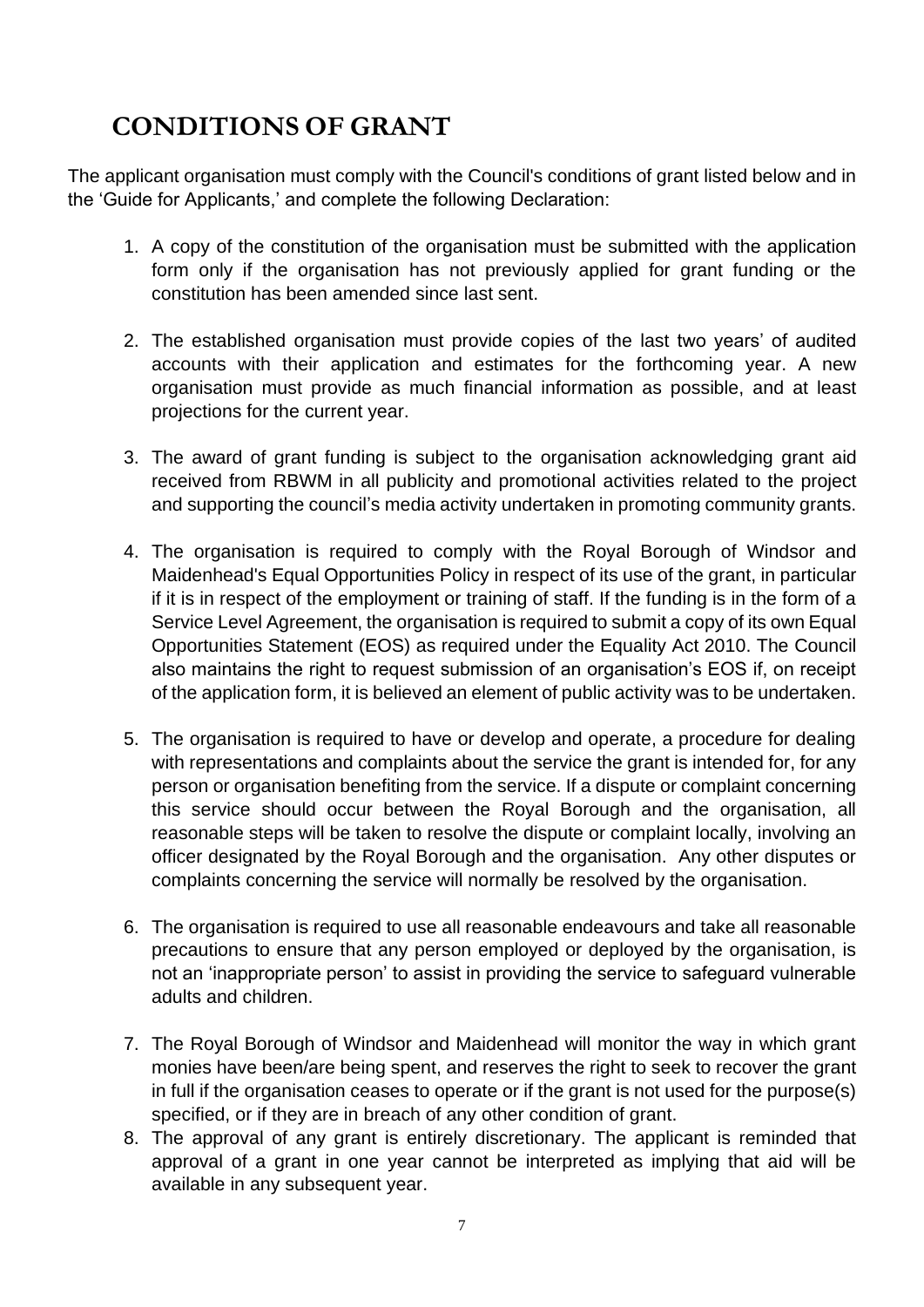## **CONDITIONS OF GRANT**

The applicant organisation must comply with the Council's conditions of grant listed below and in the 'Guide for Applicants,' and complete the following Declaration:

- 1. A copy of the constitution of the organisation must be submitted with the application form only if the organisation has not previously applied for grant funding or the constitution has been amended since last sent.
- 2. The established organisation must provide copies of the last two years' of audited accounts with their application and estimates for the forthcoming year. A new organisation must provide as much financial information as possible, and at least projections for the current year.
- 3. The award of grant funding is subject to the organisation acknowledging grant aid received from RBWM in all publicity and promotional activities related to the project and supporting the council's media activity undertaken in promoting community grants.
- 4. The organisation is required to comply with the Royal Borough of Windsor and Maidenhead's Equal Opportunities Policy in respect of its use of the grant, in particular if it is in respect of the employment or training of staff. If the funding is in the form of a Service Level Agreement, the organisation is required to submit a copy of its own Equal Opportunities Statement (EOS) as required under the Equality Act 2010. The Council also maintains the right to request submission of an organisation's EOS if, on receipt of the application form, it is believed an element of public activity was to be undertaken.
- 5. The organisation is required to have or develop and operate, a procedure for dealing with representations and complaints about the service the grant is intended for, for any person or organisation benefiting from the service. If a dispute or complaint concerning this service should occur between the Royal Borough and the organisation, all reasonable steps will be taken to resolve the dispute or complaint locally, involving an officer designated by the Royal Borough and the organisation. Any other disputes or complaints concerning the service will normally be resolved by the organisation.
- 6. The organisation is required to use all reasonable endeavours and take all reasonable precautions to ensure that any person employed or deployed by the organisation, is not an 'inappropriate person' to assist in providing the service to safeguard vulnerable adults and children.
- 7. The Royal Borough of Windsor and Maidenhead will monitor the way in which grant monies have been/are being spent, and reserves the right to seek to recover the grant in full if the organisation ceases to operate or if the grant is not used for the purpose(s) specified, or if they are in breach of any other condition of grant.
- 8. The approval of any grant is entirely discretionary. The applicant is reminded that approval of a grant in one year cannot be interpreted as implying that aid will be available in any subsequent year.